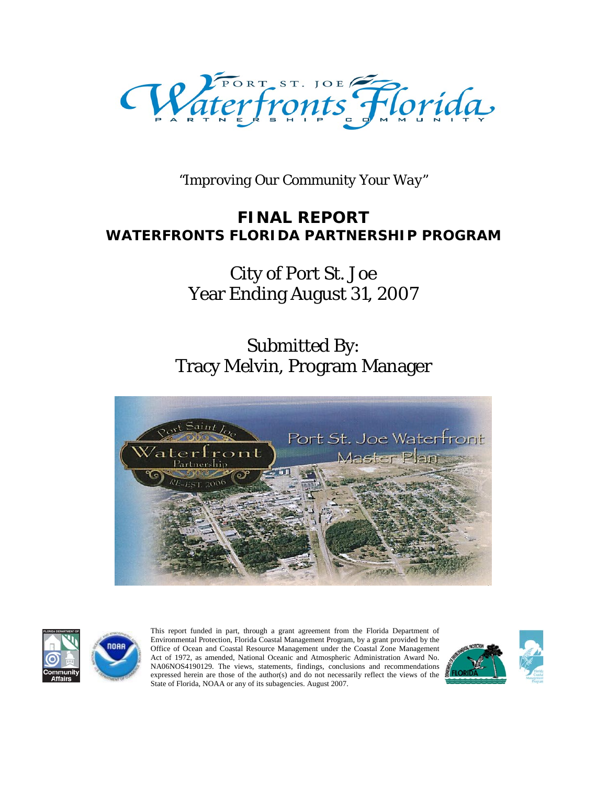

*"Improving Our Community Your Way"*

### **FINAL REPORT WATERFRONTS FLORIDA PARTNERSHIP PROGRAM**

## City of Port St. Joe Year Ending August 31, 2007

# Submitted By: Tracy Melvin, Program Manager





This report funded in part, through a grant agreement from the Florida Department of Environmental Protection, Florida Coastal Management Program, by a grant provided by the Office of Ocean and Coastal Resource Management under the Coastal Zone Management Act of 1972, as amended, National Oceanic and Atmospheric Administration Award No. NA06NOS4190129. The views, statements, findings, conclusions and recommendations expressed herein are those of the author(s) and do not necessarily reflect the views of the State of Florida, NOAA or any of its subagencies. August 2007.

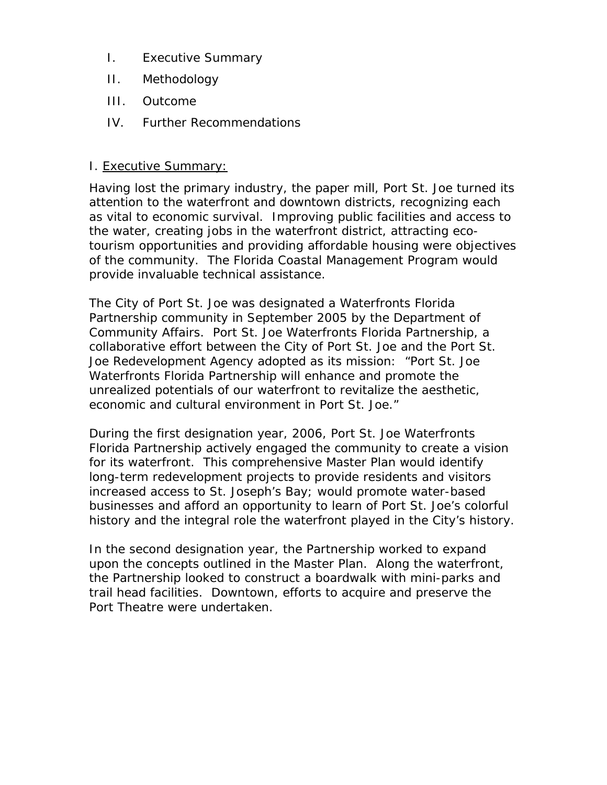- I. Executive Summary
- II. Methodology
- III. Outcome
- IV. Further Recommendations

#### I. Executive Summary:

Having lost the primary industry, the paper mill, Port St. Joe turned its attention to the waterfront and downtown districts, recognizing each as vital to economic survival. Improving public facilities and access to the water, creating jobs in the waterfront district, attracting ecotourism opportunities and providing affordable housing were objectives of the community. The Florida Coastal Management Program would provide invaluable technical assistance.

The City of Port St. Joe was designated a Waterfronts Florida Partnership community in September 2005 by the Department of Community Affairs. Port St. Joe Waterfronts Florida Partnership, a collaborative effort between the City of Port St. Joe and the Port St. Joe Redevelopment Agency adopted as its mission: "Port St. Joe Waterfronts Florida Partnership will enhance and promote the unrealized potentials of our waterfront to revitalize the aesthetic, economic and cultural environment in Port St. Joe."

During the first designation year, 2006, Port St. Joe Waterfronts Florida Partnership actively engaged the community to create a vision for its waterfront. This comprehensive Master Plan would identify long-term redevelopment projects to provide residents and visitors increased access to St. Joseph's Bay; would promote water-based businesses and afford an opportunity to learn of Port St. Joe's colorful history and the integral role the waterfront played in the City's history.

In the second designation year, the Partnership worked to expand upon the concepts outlined in the Master Plan. Along the waterfront, the Partnership looked to construct a boardwalk with mini-parks and trail head facilities. Downtown, efforts to acquire and preserve the Port Theatre were undertaken.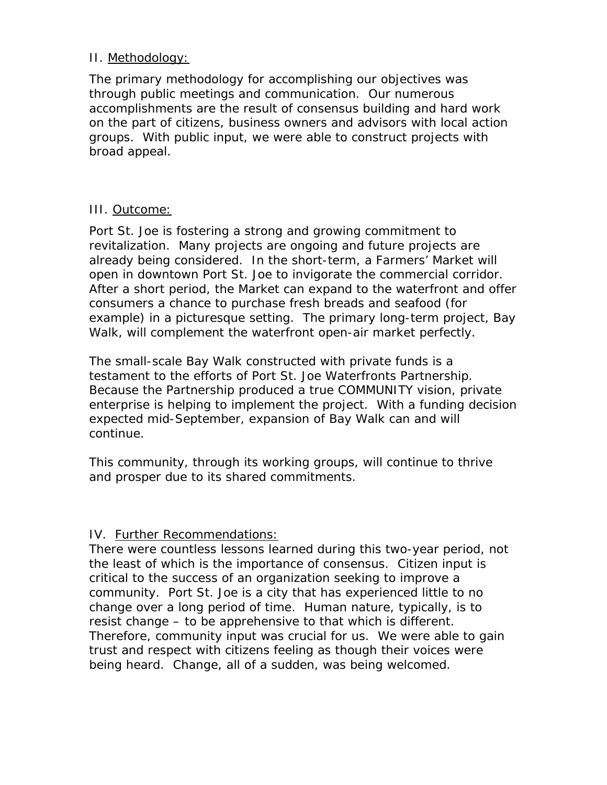#### II. Methodology:

The primary methodology for accomplishing our objectives was through public meetings and communication. Our numerous accomplishments are the result of consensus building and hard work on the part of citizens, business owners and advisors with local action groups. With public input, we were able to construct projects with broad appeal.

#### III. Outcome:

Port St. Joe is fostering a strong and growing commitment to revitalization. Many projects are ongoing and future projects are already being considered. In the short-term, a Farmers' Market will open in downtown Port St. Joe to invigorate the commercial corridor. After a short period, the Market can expand to the waterfront and offer consumers a chance to purchase fresh breads and seafood (for example) in a picturesque setting. The primary long-term project, Bay Walk, will complement the waterfront open-air market perfectly.

The small-scale Bay Walk constructed with private funds is a testament to the efforts of Port St. Joe Waterfronts Partnership. Because the Partnership produced a true COMMUNITY vision, private enterprise is helping to implement the project. With a funding decision expected mid-September, expansion of Bay Walk can and will continue.

This community, through its working groups, will continue to thrive and prosper due to its shared commitments.

#### IV. Further Recommendations:

There were countless lessons learned during this two-year period, not the least of which is the importance of consensus. Citizen input is critical to the success of an organization seeking to improve a community. Port St. Joe is a city that has experienced little to no change over a long period of time. Human nature, typically, is to resist change – to be apprehensive to that which is different. Therefore, community input was crucial for us. We were able to gain trust and respect with citizens feeling as though their voices were being heard. Change, all of a sudden, was being welcomed.